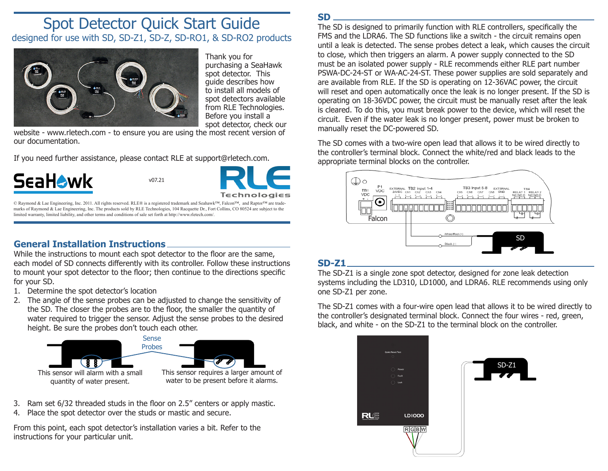# Spot Detector Quick Start Guide designed for use with SD, SD-Z1, SD-Z, SD-RO1, & SD-RO2 products



Thank you for purchasing a SeaHawk spot detector. This guide describes how to install all models of spot detectors available from RLE Technologies. Before you install a spot detector, check our

website - www.rletech.com - to ensure you are using the most recent version of our documentation.

If you need further assistance, please contact RLE at support@rletech.com.



v07.21

© Raymond & Lae Engineering, Inc. 2011. All rights reserved. RLE® is a registered trademark and Seahawk™, Falcon™, and Raptor™ are trademarks of Raymond & Lae Engineering, Inc. The products sold by RLE Technologies, 104 Racquette Dr., Fort Collins, CO 80524 are subject to the limited warranty, limited liability, and other terms and conditions of sale set forth at http://www.rletech.com/.

## **General Installation Instructions**

While the instructions to mount each spot detector to the floor are the same, each model of SD connects differently with its controller. Follow these instructions to mount your spot detector to the floor; then continue to the directions specific for your SD.

- 1. Determine the spot detector's location
- 2. The angle of the sense probes can be adjusted to change the sensitivity of the SD. The closer the probes are to the floor, the smaller the quantity of water required to trigger the sensor. Adjust the sense probes to the desired height. Be sure the probes don't touch each other.



- 3. Ram set 6/32 threaded studs in the floor on 2.5" centers or apply mastic.
- 4. Place the spot detector over the studs or mastic and secure.

From this point, each spot detector's installation varies a bit. Refer to the instructions for your particular unit.

**SD**

The SD is designed to primarily function with RLE controllers, specifically the FMS and the LDRA6. The SD functions like a switch - the circuit remains open until a leak is detected. The sense probes detect a leak, which causes the circuit to close, which then triggers an alarm. A power supply connected to the SD must be an isolated power supply - RLE recommends either RLE part number PSWA‑DC-24-ST or WA-AC-24-ST. These power supplies are sold separately and are available from RLE. If the SD is operating on 12-36VAC power, the circuit will reset and open automatically once the leak is no longer present. If the SD is operating on 18-36VDC power, the circuit must be manually reset after the leak is cleared. To do this, you must break power to the device, which will reset the circuit. Even if the water leak is no longer present, power must be broken to manually reset the DC-powered SD.

The SD comes with a two-wire open lead that allows it to be wired directly to the controller's terminal block. Connect the white/red and black leads to the appropriate terminal blocks on the controller.



#### **SD-Z1**

The SD-Z1 is a single zone spot detector, designed for zone leak detection systems including the LD310, LD1000, and LDRA6. RLE recommends using only one SD-Z1 per zone.

The SD-Z1 comes with a four-wire open lead that allows it to be wired directly to the controller's designated terminal block. Connect the four wires - red, green, black, and white - on the SD-Z1 to the terminal block on the controller.